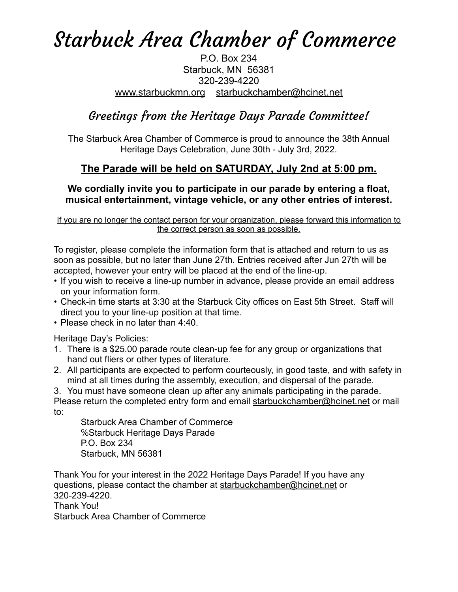# Starbuck Area Chamber of Commerce

#### P.O. Box 234 Starbuck, MN 56381 320-239-4220 [www.starbuckmn.org](http://www.starbuckmn.org) [starbuckchamber@hcinet.net](mailto:starbuckchamber@hcinet.net)

## Greetings from the Heritage Days Parade Committee!

The Starbuck Area Chamber of Commerce is proud to announce the 38th Annual Heritage Days Celebration, June 30th - July 3rd, 2022.

### **The Parade will be held on SATURDAY, July 2nd at 5:00 pm.**

### **We cordially invite you to participate in our parade by entering a float, musical entertainment, vintage vehicle, or any other entries of interest.**

If you are no longer the contact person for your organization, please forward this information to the correct person as soon as possible.

To register, please complete the information form that is attached and return to us as soon as possible, but no later than June 27th. Entries received after Jun 27th will be accepted, however your entry will be placed at the end of the line-up.

- If you wish to receive a line-up number in advance, please provide an email address on your information form.
- Check-in time starts at 3:30 at the Starbuck City offices on East 5th Street. Staff will direct you to your line-up position at that time.
- Please check in no later than 4:40.

Heritage Day's Policies:

- 1. There is a \$25.00 parade route clean-up fee for any group or organizations that hand out fliers or other types of literature.
- 2. All participants are expected to perform courteously, in good taste, and with safety in mind at all times during the assembly, execution, and dispersal of the parade.

3. You must have someone clean up after any animals participating in the parade. Please return the completed entry form and email [starbuckchamber@hcinet.net](mailto:starbuckchamber@hcinet.net) or mail to:

Starbuck Area Chamber of Commerce ℅Starbuck Heritage Days Parade P.O. Box 234 Starbuck, MN 56381

Thank You for your interest in the 2022 Heritage Days Parade! If you have any questions, please contact the chamber at [starbuckchamber@hcinet.net](mailto:starbuckchamber@hcinet.net) or 320-239-4220. Thank You! Starbuck Area Chamber of Commerce